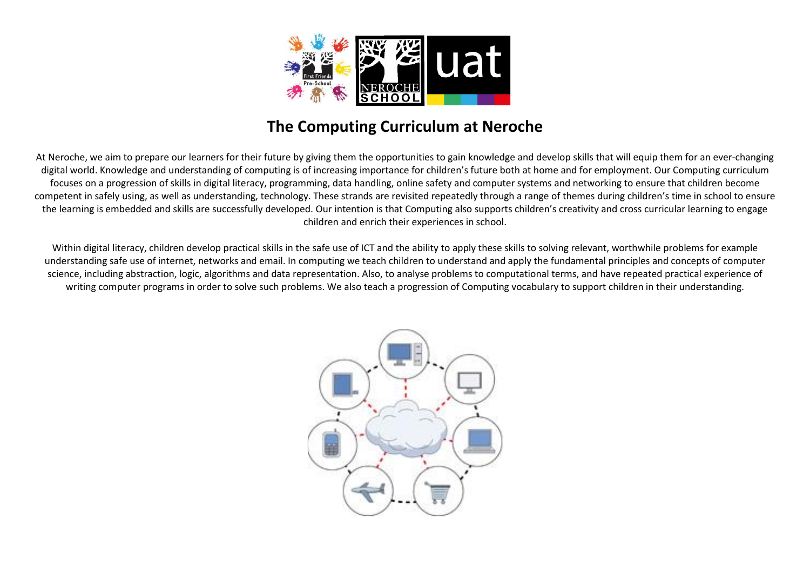

## The Computing Curriculum at Neroche

At Neroche, we aim to prepare our learners for their future by giving them the opportunities to gain knowledge and develop skills that will equip them for an ever-changing digital world. Knowledge and understanding of computing is of increasing importance for children's future both at home and for employment. Our Computing curriculum focuses on a progression of skills in digital literacy, programming, data handling, online safety and computer systems and networking to ensure that children become competent in safely using, as well as understanding, technology. These strands are revisited repeatedly through a range of themes during children's time in school to ensure the learning is embedded and skills are successfully developed. Our intention is that Computing also supports children's creativity and cross curricular learning to engage children and enrich their experiences in school.

Within digital literacy, children develop practical skills in the safe use of ICT and the ability to apply these skills to solving relevant, worthwhile problems for example understanding safe use of internet, networks and email. In computing we teach children to understand and apply the fundamental principles and concepts of computer science, including abstraction, logic, algorithms and data representation. Also, to analyse problems to computational terms, and have repeated practical experience of writing computer programs in order to solve such problems. We also teach a progression of Computing vocabulary to support children in their understanding.

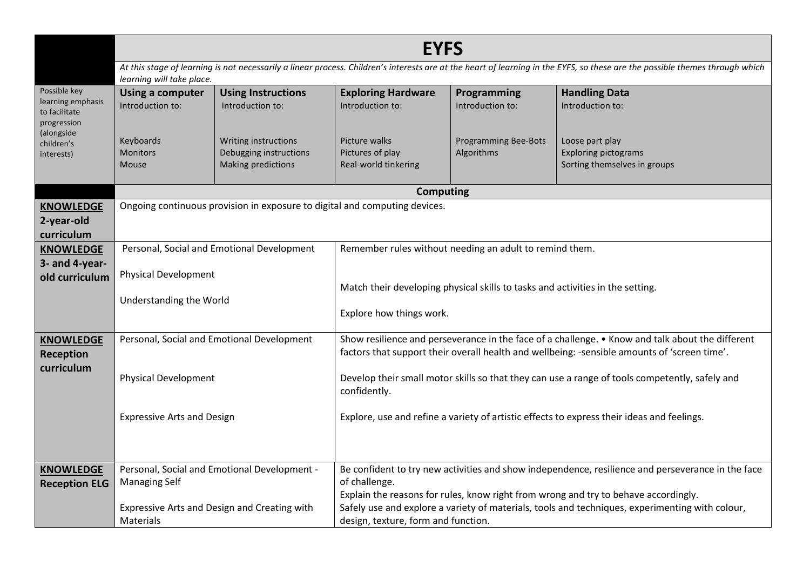|                                                                                 | <b>EYFS</b>                                                                |                                                                      |                                                                                                                                                                                                  |                                           |                                                                                                                                                                                        |  |  |
|---------------------------------------------------------------------------------|----------------------------------------------------------------------------|----------------------------------------------------------------------|--------------------------------------------------------------------------------------------------------------------------------------------------------------------------------------------------|-------------------------------------------|----------------------------------------------------------------------------------------------------------------------------------------------------------------------------------------|--|--|
|                                                                                 | learning will take place.                                                  |                                                                      |                                                                                                                                                                                                  |                                           | At this stage of learning is not necessarily a linear process. Children's interests are at the heart of learning in the EYFS, so these are the possible themes through which           |  |  |
| Possible key<br>learning emphasis<br>to facilitate<br>progression<br>(alongside | <b>Using a computer</b><br>Introduction to:                                | <b>Using Instructions</b><br>Introduction to:                        | <b>Exploring Hardware</b><br>Introduction to:                                                                                                                                                    | Programming<br>Introduction to:           | <b>Handling Data</b><br>Introduction to:                                                                                                                                               |  |  |
| children's<br>interests)                                                        | Keyboards<br>Monitors<br>Mouse                                             | Writing instructions<br>Debugging instructions<br>Making predictions | Picture walks<br>Pictures of play<br>Real-world tinkering                                                                                                                                        | <b>Programming Bee-Bots</b><br>Algorithms | Loose part play<br><b>Exploring pictograms</b><br>Sorting themselves in groups                                                                                                         |  |  |
|                                                                                 |                                                                            |                                                                      | <b>Computing</b>                                                                                                                                                                                 |                                           |                                                                                                                                                                                        |  |  |
| <b>KNOWLEDGE</b><br>2-year-old<br>curriculum                                    | Ongoing continuous provision in exposure to digital and computing devices. |                                                                      |                                                                                                                                                                                                  |                                           |                                                                                                                                                                                        |  |  |
| <b>KNOWLEDGE</b><br>3- and 4-year-                                              |                                                                            | Personal, Social and Emotional Development                           | Remember rules without needing an adult to remind them.                                                                                                                                          |                                           |                                                                                                                                                                                        |  |  |
| old curriculum                                                                  | <b>Physical Development</b>                                                |                                                                      | Match their developing physical skills to tasks and activities in the setting.                                                                                                                   |                                           |                                                                                                                                                                                        |  |  |
|                                                                                 | Understanding the World                                                    |                                                                      | Explore how things work.                                                                                                                                                                         |                                           |                                                                                                                                                                                        |  |  |
| <b>KNOWLEDGE</b><br><b>Reception</b>                                            |                                                                            | Personal, Social and Emotional Development                           | Show resilience and perseverance in the face of a challenge. • Know and talk about the different<br>factors that support their overall health and wellbeing: -sensible amounts of 'screen time'. |                                           |                                                                                                                                                                                        |  |  |
| curriculum                                                                      | <b>Physical Development</b>                                                |                                                                      | Develop their small motor skills so that they can use a range of tools competently, safely and<br>confidently.                                                                                   |                                           |                                                                                                                                                                                        |  |  |
|                                                                                 | <b>Expressive Arts and Design</b>                                          |                                                                      | Explore, use and refine a variety of artistic effects to express their ideas and feelings.                                                                                                       |                                           |                                                                                                                                                                                        |  |  |
| <b>KNOWLEDGE</b><br><b>Reception ELG</b>                                        | <b>Managing Self</b>                                                       | Personal, Social and Emotional Development -                         | of challenge.                                                                                                                                                                                    |                                           | Be confident to try new activities and show independence, resilience and perseverance in the face                                                                                      |  |  |
|                                                                                 | Materials                                                                  | Expressive Arts and Design and Creating with                         | design, texture, form and function.                                                                                                                                                              |                                           | Explain the reasons for rules, know right from wrong and try to behave accordingly.<br>Safely use and explore a variety of materials, tools and techniques, experimenting with colour, |  |  |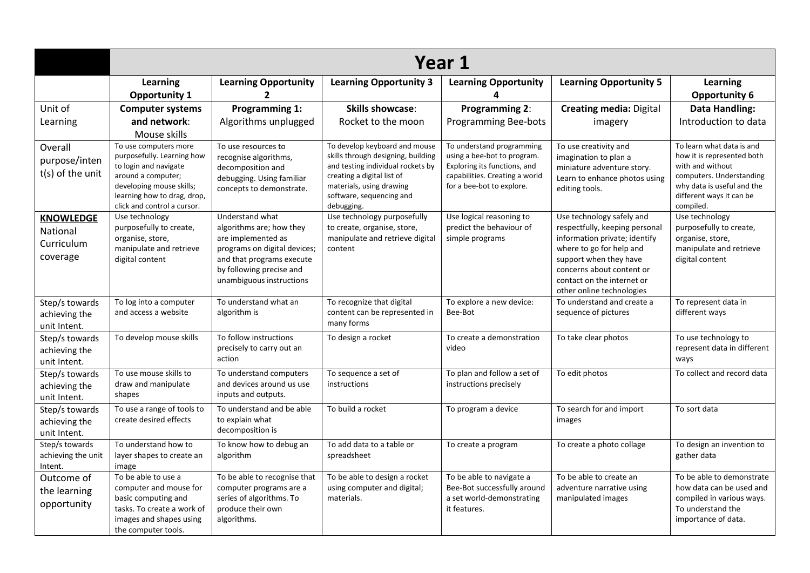|                                                        |                                                                                                                                                                                              | Year 1                                                                                                                                                                                 |                                                                                                                                                                                                              |                                                                                                                                                         |                                                                                                                                                                                                                                            |                                                                                                                                                                                |  |  |
|--------------------------------------------------------|----------------------------------------------------------------------------------------------------------------------------------------------------------------------------------------------|----------------------------------------------------------------------------------------------------------------------------------------------------------------------------------------|--------------------------------------------------------------------------------------------------------------------------------------------------------------------------------------------------------------|---------------------------------------------------------------------------------------------------------------------------------------------------------|--------------------------------------------------------------------------------------------------------------------------------------------------------------------------------------------------------------------------------------------|--------------------------------------------------------------------------------------------------------------------------------------------------------------------------------|--|--|
|                                                        | Learning                                                                                                                                                                                     | <b>Learning Opportunity</b>                                                                                                                                                            | <b>Learning Opportunity 3</b>                                                                                                                                                                                | <b>Learning Opportunity</b>                                                                                                                             | <b>Learning Opportunity 5</b>                                                                                                                                                                                                              | Learning                                                                                                                                                                       |  |  |
|                                                        | <b>Opportunity 1</b>                                                                                                                                                                         | 2                                                                                                                                                                                      |                                                                                                                                                                                                              |                                                                                                                                                         |                                                                                                                                                                                                                                            | <b>Opportunity 6</b>                                                                                                                                                           |  |  |
| Unit of                                                | <b>Computer systems</b>                                                                                                                                                                      | <b>Programming 1:</b>                                                                                                                                                                  | <b>Skills showcase:</b>                                                                                                                                                                                      | Programming 2:                                                                                                                                          | <b>Creating media: Digital</b>                                                                                                                                                                                                             | <b>Data Handling:</b>                                                                                                                                                          |  |  |
| Learning                                               | and network:                                                                                                                                                                                 | Algorithms unplugged                                                                                                                                                                   | Rocket to the moon                                                                                                                                                                                           | <b>Programming Bee-bots</b>                                                                                                                             | imagery                                                                                                                                                                                                                                    | Introduction to data                                                                                                                                                           |  |  |
|                                                        | Mouse skills                                                                                                                                                                                 |                                                                                                                                                                                        |                                                                                                                                                                                                              |                                                                                                                                                         |                                                                                                                                                                                                                                            |                                                                                                                                                                                |  |  |
| Overall<br>purpose/inten<br>t(s) of the unit           | To use computers more<br>purposefully. Learning how<br>to login and navigate<br>around a computer;<br>developing mouse skills;<br>learning how to drag, drop,<br>click and control a cursor. | To use resources to<br>recognise algorithms,<br>decomposition and<br>debugging. Using familiar<br>concepts to demonstrate.                                                             | To develop keyboard and mouse<br>skills through designing, building<br>and testing individual rockets by<br>creating a digital list of<br>materials, using drawing<br>software, sequencing and<br>debugging. | To understand programming<br>using a bee-bot to program.<br>Exploring its functions, and<br>capabilities. Creating a world<br>for a bee-bot to explore. | To use creativity and<br>imagination to plan a<br>miniature adventure story.<br>Learn to enhance photos using<br>editing tools.                                                                                                            | To learn what data is and<br>how it is represented both<br>with and without<br>computers. Understanding<br>why data is useful and the<br>different ways it can be<br>compiled. |  |  |
| <b>KNOWLEDGE</b><br>National<br>Curriculum<br>coverage | Use technology<br>purposefully to create,<br>organise, store,<br>manipulate and retrieve<br>digital content                                                                                  | Understand what<br>algorithms are; how they<br>are implemented as<br>programs on digital devices;<br>and that programs execute<br>by following precise and<br>unambiguous instructions | Use technology purposefully<br>to create, organise, store,<br>manipulate and retrieve digital<br>content                                                                                                     | Use logical reasoning to<br>predict the behaviour of<br>simple programs                                                                                 | Use technology safely and<br>respectfully, keeping personal<br>information private; identify<br>where to go for help and<br>support when they have<br>concerns about content or<br>contact on the internet or<br>other online technologies | Use technology<br>purposefully to create,<br>organise, store,<br>manipulate and retrieve<br>digital content                                                                    |  |  |
| Step/s towards<br>achieving the<br>unit Intent.        | To log into a computer<br>and access a website                                                                                                                                               | To understand what an<br>algorithm is                                                                                                                                                  | To recognize that digital<br>content can be represented in<br>many forms                                                                                                                                     | To explore a new device:<br>Bee-Bot                                                                                                                     | To understand and create a<br>sequence of pictures                                                                                                                                                                                         | To represent data in<br>different ways                                                                                                                                         |  |  |
| Step/s towards<br>achieving the<br>unit Intent.        | To develop mouse skills                                                                                                                                                                      | To follow instructions<br>precisely to carry out an<br>action                                                                                                                          | To design a rocket                                                                                                                                                                                           | To create a demonstration<br>video                                                                                                                      | To take clear photos                                                                                                                                                                                                                       | To use technology to<br>represent data in different<br>ways                                                                                                                    |  |  |
| Step/s towards<br>achieving the<br>unit Intent.        | To use mouse skills to<br>draw and manipulate<br>shapes                                                                                                                                      | To understand computers<br>and devices around us use<br>inputs and outputs.                                                                                                            | To sequence a set of<br>instructions                                                                                                                                                                         | To plan and follow a set of<br>instructions precisely                                                                                                   | To edit photos                                                                                                                                                                                                                             | To collect and record data                                                                                                                                                     |  |  |
| Step/s towards<br>achieving the<br>unit Intent.        | To use a range of tools to<br>create desired effects                                                                                                                                         | To understand and be able<br>to explain what<br>decomposition is                                                                                                                       | To build a rocket                                                                                                                                                                                            | To program a device                                                                                                                                     | To search for and import<br>images                                                                                                                                                                                                         | To sort data                                                                                                                                                                   |  |  |
| Step/s towards<br>achieving the unit<br>Intent.        | To understand how to<br>layer shapes to create an<br>image                                                                                                                                   | To know how to debug an<br>algorithm                                                                                                                                                   | To add data to a table or<br>spreadsheet                                                                                                                                                                     | To create a program                                                                                                                                     | To create a photo collage                                                                                                                                                                                                                  | To design an invention to<br>gather data                                                                                                                                       |  |  |
| Outcome of<br>the learning<br>opportunity              | To be able to use a<br>computer and mouse for<br>basic computing and<br>tasks. To create a work of<br>images and shapes using<br>the computer tools.                                         | To be able to recognise that<br>computer programs are a<br>series of algorithms. To<br>produce their own<br>algorithms.                                                                | To be able to design a rocket<br>using computer and digital;<br>materials.                                                                                                                                   | To be able to navigate a<br>Bee-Bot successfully around<br>a set world-demonstrating<br>it features.                                                    | To be able to create an<br>adventure narrative using<br>manipulated images                                                                                                                                                                 | To be able to demonstrate<br>how data can be used and<br>compiled in various ways.<br>To understand the<br>importance of data.                                                 |  |  |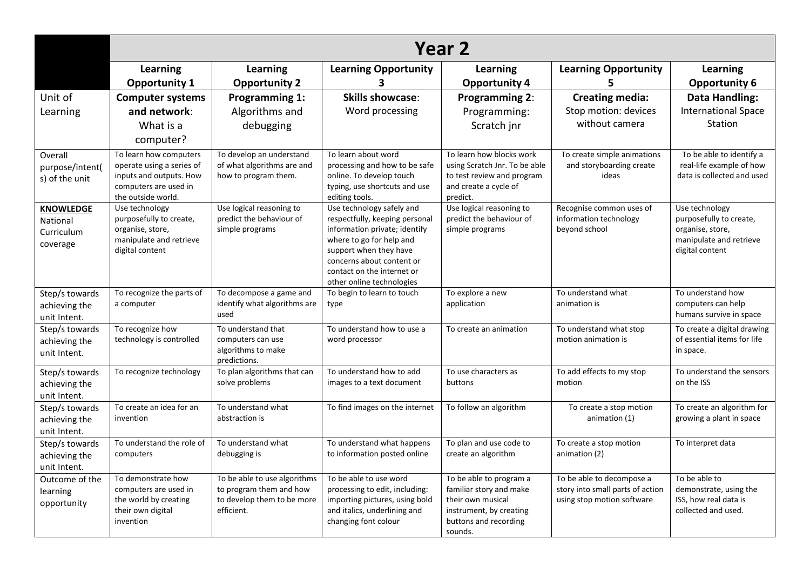|                                                        |                                                                                                                               | Year <sub>2</sub>                                                                                   |                                                                                                                                                                                                                                            |                                                                                                                                        |                                                                                             |                                                                                                             |  |  |
|--------------------------------------------------------|-------------------------------------------------------------------------------------------------------------------------------|-----------------------------------------------------------------------------------------------------|--------------------------------------------------------------------------------------------------------------------------------------------------------------------------------------------------------------------------------------------|----------------------------------------------------------------------------------------------------------------------------------------|---------------------------------------------------------------------------------------------|-------------------------------------------------------------------------------------------------------------|--|--|
|                                                        | Learning<br><b>Opportunity 1</b>                                                                                              | Learning<br><b>Opportunity 2</b>                                                                    | <b>Learning Opportunity</b>                                                                                                                                                                                                                | Learning<br><b>Opportunity 4</b>                                                                                                       | <b>Learning Opportunity</b><br>5                                                            | Learning<br><b>Opportunity 6</b>                                                                            |  |  |
| Unit of<br>Learning                                    | <b>Computer systems</b><br>and network:<br>What is a<br>computer?                                                             | <b>Programming 1:</b><br>Algorithms and<br>debugging                                                | <b>Skills showcase:</b><br>Word processing                                                                                                                                                                                                 | Programming 2:<br>Programming:<br>Scratch jnr                                                                                          | <b>Creating media:</b><br>Stop motion: devices<br>without camera                            | <b>Data Handling:</b><br><b>International Space</b><br>Station                                              |  |  |
| Overall<br>purpose/intent(<br>s) of the unit           | To learn how computers<br>operate using a series of<br>inputs and outputs. How<br>computers are used in<br>the outside world. | To develop an understand<br>of what algorithms are and<br>how to program them.                      | To learn about word<br>processing and how to be safe<br>online. To develop touch<br>typing, use shortcuts and use<br>editing tools.                                                                                                        | To learn how blocks work<br>using Scratch Jnr. To be able<br>to test review and program<br>and create a cycle of<br>predict.           | To create simple animations<br>and storyboarding create<br>ideas                            | To be able to identify a<br>real-life example of how<br>data is collected and used                          |  |  |
| <b>KNOWLEDGE</b><br>National<br>Curriculum<br>coverage | Use technology<br>purposefully to create,<br>organise, store,<br>manipulate and retrieve<br>digital content                   | Use logical reasoning to<br>predict the behaviour of<br>simple programs                             | Use technology safely and<br>respectfully, keeping personal<br>information private; identify<br>where to go for help and<br>support when they have<br>concerns about content or<br>contact on the internet or<br>other online technologies | Use logical reasoning to<br>predict the behaviour of<br>simple programs                                                                | Recognise common uses of<br>information technology<br>beyond school                         | Use technology<br>purposefully to create,<br>organise, store,<br>manipulate and retrieve<br>digital content |  |  |
| Step/s towards<br>achieving the<br>unit Intent.        | To recognize the parts of<br>a computer                                                                                       | To decompose a game and<br>identify what algorithms are<br>used                                     | To begin to learn to touch<br>type                                                                                                                                                                                                         | To explore a new<br>application                                                                                                        | To understand what<br>animation is                                                          | To understand how<br>computers can help<br>humans survive in space                                          |  |  |
| Step/s towards<br>achieving the<br>unit Intent.        | To recognize how<br>technology is controlled                                                                                  | To understand that<br>computers can use<br>algorithms to make<br>predictions.                       | To understand how to use a<br>word processor                                                                                                                                                                                               | To create an animation                                                                                                                 | To understand what stop<br>motion animation is                                              | To create a digital drawing<br>of essential items for life<br>in space.                                     |  |  |
| Step/s towards<br>achieving the<br>unit Intent.        | To recognize technology                                                                                                       | To plan algorithms that can<br>solve problems                                                       | To understand how to add<br>images to a text document                                                                                                                                                                                      | To use characters as<br>buttons                                                                                                        | To add effects to my stop<br>motion                                                         | To understand the sensors<br>on the ISS                                                                     |  |  |
| Step/s towards<br>achieving the<br>unit Intent.        | To create an idea for an<br>invention                                                                                         | To understand what<br>abstraction is                                                                | To find images on the internet                                                                                                                                                                                                             | To follow an algorithm                                                                                                                 | To create a stop motion<br>animation (1)                                                    | To create an algorithm for<br>growing a plant in space                                                      |  |  |
| Step/s towards<br>achieving the<br>unit Intent.        | To understand the role of<br>computers                                                                                        | To understand what<br>debugging is                                                                  | To understand what happens<br>to information posted online                                                                                                                                                                                 | To plan and use code to<br>create an algorithm                                                                                         | To create a stop motion<br>animation (2)                                                    | To interpret data                                                                                           |  |  |
| Outcome of the<br>learning<br>opportunity              | To demonstrate how<br>computers are used in<br>the world by creating<br>their own digital<br>invention                        | To be able to use algorithms<br>to program them and how<br>to develop them to be more<br>efficient. | To be able to use word<br>processing to edit, including:<br>importing pictures, using bold<br>and italics, underlining and<br>changing font colour                                                                                         | To be able to program a<br>familiar story and make<br>their own musical<br>instrument, by creating<br>buttons and recording<br>sounds. | To be able to decompose a<br>story into small parts of action<br>using stop motion software | To be able to<br>demonstrate, using the<br>ISS, how real data is<br>collected and used.                     |  |  |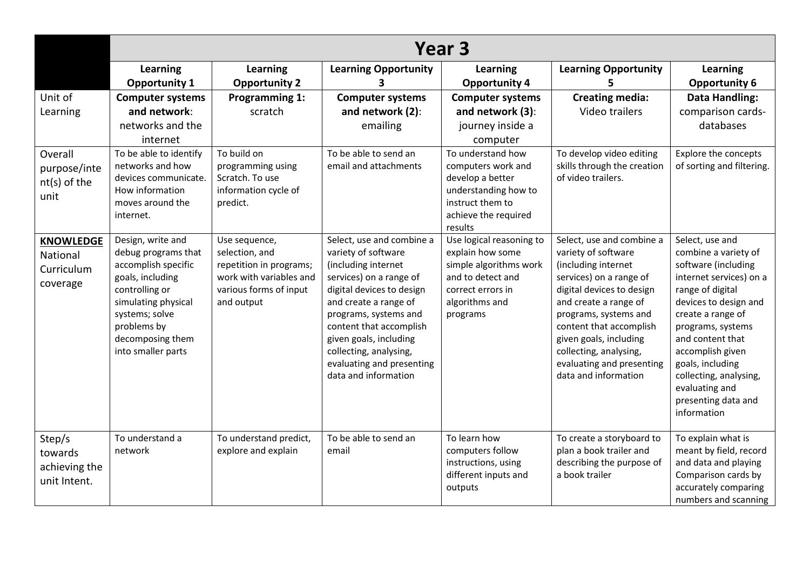|                                            | Year <sub>3</sub>                                               |                                                            |                                                                         |                                                                        |                                                                         |                                                                |  |  |
|--------------------------------------------|-----------------------------------------------------------------|------------------------------------------------------------|-------------------------------------------------------------------------|------------------------------------------------------------------------|-------------------------------------------------------------------------|----------------------------------------------------------------|--|--|
|                                            | Learning                                                        | Learning                                                   | <b>Learning Opportunity</b>                                             | <b>Learning</b>                                                        | <b>Learning Opportunity</b>                                             | <b>Learning</b>                                                |  |  |
|                                            | <b>Opportunity 1</b>                                            | <b>Opportunity 2</b>                                       |                                                                         | <b>Opportunity 4</b>                                                   |                                                                         | <b>Opportunity 6</b>                                           |  |  |
| Unit of                                    | <b>Computer systems</b>                                         | <b>Programming 1:</b>                                      | <b>Computer systems</b>                                                 | <b>Computer systems</b>                                                | <b>Creating media:</b>                                                  | <b>Data Handling:</b>                                          |  |  |
| Learning                                   | and network:                                                    | scratch                                                    | and network (2):                                                        | and network (3):                                                       | Video trailers                                                          | comparison cards-                                              |  |  |
|                                            | networks and the                                                |                                                            | emailing                                                                | journey inside a                                                       |                                                                         | databases                                                      |  |  |
|                                            | internet                                                        |                                                            |                                                                         | computer                                                               |                                                                         |                                                                |  |  |
| Overall                                    | To be able to identify                                          | To build on                                                | To be able to send an                                                   | To understand how                                                      | To develop video editing                                                | Explore the concepts                                           |  |  |
| purpose/inte                               | networks and how                                                | programming using                                          | email and attachments                                                   | computers work and                                                     | skills through the creation                                             | of sorting and filtering.                                      |  |  |
| nt(s) of the                               | devices communicate.                                            | Scratch. To use                                            |                                                                         | develop a better                                                       | of video trailers.                                                      |                                                                |  |  |
| unit                                       | How information<br>moves around the                             | information cycle of<br>predict.                           |                                                                         | understanding how to<br>instruct them to                               |                                                                         |                                                                |  |  |
|                                            | internet.                                                       |                                                            |                                                                         | achieve the required                                                   |                                                                         |                                                                |  |  |
|                                            |                                                                 |                                                            |                                                                         | results                                                                |                                                                         |                                                                |  |  |
| <b>KNOWLEDGE</b><br>National<br>Curriculum | Design, write and<br>debug programs that<br>accomplish specific | Use sequence,<br>selection, and<br>repetition in programs; | Select, use and combine a<br>variety of software<br>(including internet | Use logical reasoning to<br>explain how some<br>simple algorithms work | Select, use and combine a<br>variety of software<br>(including internet | Select, use and<br>combine a variety of<br>software (including |  |  |
| coverage                                   | goals, including                                                | work with variables and                                    | services) on a range of                                                 | and to detect and                                                      | services) on a range of                                                 | internet services) on a                                        |  |  |
|                                            | controlling or                                                  | various forms of input                                     | digital devices to design                                               | correct errors in                                                      | digital devices to design                                               | range of digital                                               |  |  |
|                                            | simulating physical<br>systems; solve                           | and output                                                 | and create a range of<br>programs, systems and                          | algorithms and<br>programs                                             | and create a range of<br>programs, systems and                          | devices to design and<br>create a range of                     |  |  |
|                                            | problems by                                                     |                                                            | content that accomplish                                                 |                                                                        | content that accomplish                                                 | programs, systems                                              |  |  |
|                                            | decomposing them                                                |                                                            | given goals, including                                                  |                                                                        | given goals, including                                                  | and content that                                               |  |  |
|                                            | into smaller parts                                              |                                                            | collecting, analysing,                                                  |                                                                        | collecting, analysing,                                                  | accomplish given                                               |  |  |
|                                            |                                                                 |                                                            | evaluating and presenting                                               |                                                                        | evaluating and presenting                                               | goals, including                                               |  |  |
|                                            |                                                                 |                                                            | data and information                                                    |                                                                        | data and information                                                    | collecting, analysing,<br>evaluating and                       |  |  |
|                                            |                                                                 |                                                            |                                                                         |                                                                        |                                                                         | presenting data and                                            |  |  |
|                                            |                                                                 |                                                            |                                                                         |                                                                        |                                                                         | information                                                    |  |  |
|                                            |                                                                 |                                                            |                                                                         |                                                                        |                                                                         |                                                                |  |  |
| Step/s                                     | To understand a                                                 | To understand predict,                                     | To be able to send an                                                   | To learn how                                                           | To create a storyboard to                                               | To explain what is                                             |  |  |
| towards                                    | network                                                         | explore and explain                                        | email                                                                   | computers follow<br>instructions, using                                | plan a book trailer and<br>describing the purpose of                    | meant by field, record<br>and data and playing                 |  |  |
| achieving the                              |                                                                 |                                                            |                                                                         | different inputs and                                                   | a book trailer                                                          | Comparison cards by                                            |  |  |
| unit Intent.                               |                                                                 |                                                            |                                                                         | outputs                                                                |                                                                         | accurately comparing                                           |  |  |
|                                            |                                                                 |                                                            |                                                                         |                                                                        |                                                                         | numbers and scanning                                           |  |  |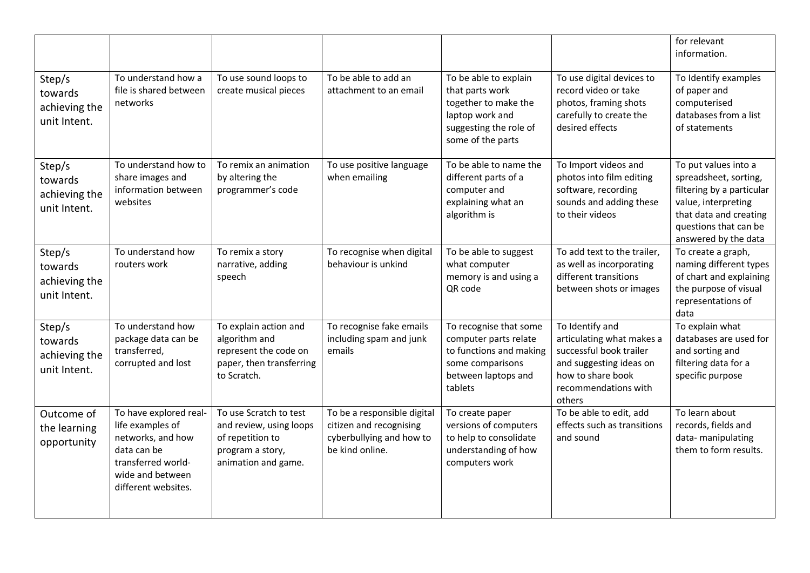|                                                    |                                                                                                                                                 |                                                                                                                  |                                                                                                       |                                                                                                                                    |                                                                                                                                                           | for relevant<br>information.                                                                                                                                                 |
|----------------------------------------------------|-------------------------------------------------------------------------------------------------------------------------------------------------|------------------------------------------------------------------------------------------------------------------|-------------------------------------------------------------------------------------------------------|------------------------------------------------------------------------------------------------------------------------------------|-----------------------------------------------------------------------------------------------------------------------------------------------------------|------------------------------------------------------------------------------------------------------------------------------------------------------------------------------|
| Step/s<br>towards<br>achieving the<br>unit Intent. | To understand how a<br>file is shared between<br>networks                                                                                       | To use sound loops to<br>create musical pieces                                                                   | To be able to add an<br>attachment to an email                                                        | To be able to explain<br>that parts work<br>together to make the<br>laptop work and<br>suggesting the role of<br>some of the parts | To use digital devices to<br>record video or take<br>photos, framing shots<br>carefully to create the<br>desired effects                                  | To Identify examples<br>of paper and<br>computerised<br>databases from a list<br>of statements                                                                               |
| Step/s<br>towards<br>achieving the<br>unit Intent. | To understand how to<br>share images and<br>information between<br>websites                                                                     | To remix an animation<br>by altering the<br>programmer's code                                                    | To use positive language<br>when emailing                                                             | To be able to name the<br>different parts of a<br>computer and<br>explaining what an<br>algorithm is                               | To Import videos and<br>photos into film editing<br>software, recording<br>sounds and adding these<br>to their videos                                     | To put values into a<br>spreadsheet, sorting,<br>filtering by a particular<br>value, interpreting<br>that data and creating<br>questions that can be<br>answered by the data |
| Step/s<br>towards<br>achieving the<br>unit Intent. | To understand how<br>routers work                                                                                                               | To remix a story<br>narrative, adding<br>speech                                                                  | To recognise when digital<br>behaviour is unkind                                                      | To be able to suggest<br>what computer<br>memory is and using a<br>QR code                                                         | To add text to the trailer,<br>as well as incorporating<br>different transitions<br>between shots or images                                               | To create a graph,<br>naming different types<br>of chart and explaining<br>the purpose of visual<br>representations of<br>data                                               |
| Step/s<br>towards<br>achieving the<br>unit Intent. | To understand how<br>package data can be<br>transferred,<br>corrupted and lost                                                                  | To explain action and<br>algorithm and<br>represent the code on<br>paper, then transferring<br>to Scratch.       | To recognise fake emails<br>including spam and junk<br>emails                                         | To recognise that some<br>computer parts relate<br>to functions and making<br>some comparisons<br>between laptops and<br>tablets   | To Identify and<br>articulating what makes a<br>successful book trailer<br>and suggesting ideas on<br>how to share book<br>recommendations with<br>others | To explain what<br>databases are used for<br>and sorting and<br>filtering data for a<br>specific purpose                                                                     |
| Outcome of<br>the learning<br>opportunity          | To have explored real-<br>life examples of<br>networks, and how<br>data can be<br>transferred world-<br>wide and between<br>different websites. | To use Scratch to test<br>and review, using loops<br>of repetition to<br>program a story,<br>animation and game. | To be a responsible digital<br>citizen and recognising<br>cyberbullying and how to<br>be kind online. | To create paper<br>versions of computers<br>to help to consolidate<br>understanding of how<br>computers work                       | To be able to edit, add<br>effects such as transitions<br>and sound                                                                                       | To learn about<br>records, fields and<br>data-manipulating<br>them to form results.                                                                                          |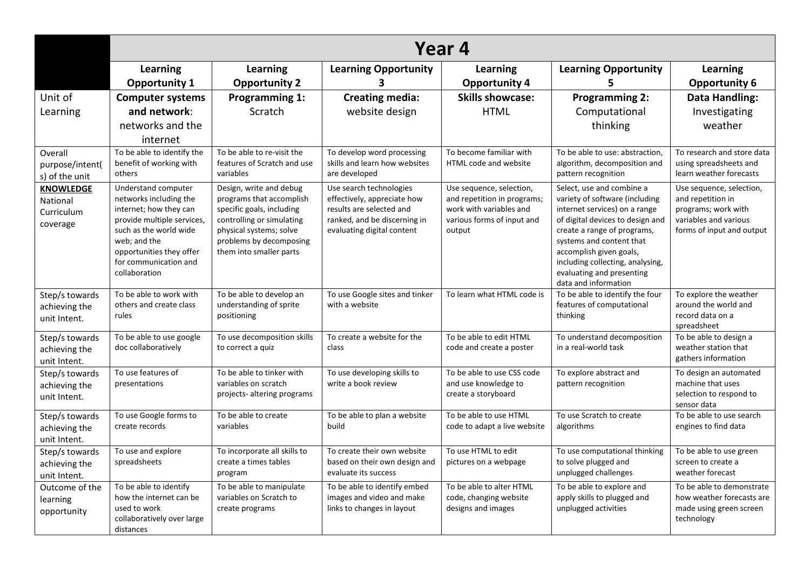|                                                        |                                                                                                                                                                                                                       | Year 4                                                                                                                                                                                         |                                                                                                                                                  |                                                                                                                            |                                                                                                                                                                                                                                                                                                                 |                                                                                                                            |  |  |
|--------------------------------------------------------|-----------------------------------------------------------------------------------------------------------------------------------------------------------------------------------------------------------------------|------------------------------------------------------------------------------------------------------------------------------------------------------------------------------------------------|--------------------------------------------------------------------------------------------------------------------------------------------------|----------------------------------------------------------------------------------------------------------------------------|-----------------------------------------------------------------------------------------------------------------------------------------------------------------------------------------------------------------------------------------------------------------------------------------------------------------|----------------------------------------------------------------------------------------------------------------------------|--|--|
|                                                        | Learning                                                                                                                                                                                                              | Learning                                                                                                                                                                                       | <b>Learning Opportunity</b>                                                                                                                      | Learning                                                                                                                   | <b>Learning Opportunity</b>                                                                                                                                                                                                                                                                                     | Learning                                                                                                                   |  |  |
|                                                        | <b>Opportunity 1</b>                                                                                                                                                                                                  | <b>Opportunity 2</b>                                                                                                                                                                           | 3                                                                                                                                                | <b>Opportunity 4</b>                                                                                                       | 5.                                                                                                                                                                                                                                                                                                              | <b>Opportunity 6</b>                                                                                                       |  |  |
| Unit of                                                | <b>Computer systems</b>                                                                                                                                                                                               | <b>Programming 1:</b>                                                                                                                                                                          | <b>Creating media:</b>                                                                                                                           | <b>Skills showcase:</b>                                                                                                    | <b>Programming 2:</b>                                                                                                                                                                                                                                                                                           | <b>Data Handling:</b>                                                                                                      |  |  |
| Learning                                               | and network:                                                                                                                                                                                                          | <b>Scratch</b>                                                                                                                                                                                 | website design                                                                                                                                   | <b>HTML</b>                                                                                                                | Computational                                                                                                                                                                                                                                                                                                   | Investigating                                                                                                              |  |  |
|                                                        | networks and the                                                                                                                                                                                                      |                                                                                                                                                                                                |                                                                                                                                                  |                                                                                                                            | thinking                                                                                                                                                                                                                                                                                                        | weather                                                                                                                    |  |  |
|                                                        | internet                                                                                                                                                                                                              |                                                                                                                                                                                                |                                                                                                                                                  |                                                                                                                            |                                                                                                                                                                                                                                                                                                                 |                                                                                                                            |  |  |
| Overall<br>purpose/intent(<br>s) of the unit           | To be able to identify the<br>benefit of working with<br>others                                                                                                                                                       | To be able to re-visit the<br>features of Scratch and use<br>variables                                                                                                                         | To develop word processing<br>skills and learn how websites<br>are developed                                                                     | To become familiar with<br>HTML code and website                                                                           | To be able to use: abstraction,<br>algorithm, decomposition and<br>pattern recognition                                                                                                                                                                                                                          | To research and store data<br>using spreadsheets and<br>learn weather forecasts                                            |  |  |
| <b>KNOWLEDGE</b><br>National<br>Curriculum<br>coverage | Understand computer<br>networks including the<br>internet; how they can<br>provide multiple services,<br>such as the world wide<br>web; and the<br>opportunities they offer<br>for communication and<br>collaboration | Design, write and debug<br>programs that accomplish<br>specific goals, including<br>controlling or simulating<br>physical systems; solve<br>problems by decomposing<br>them into smaller parts | Use search technologies<br>effectively, appreciate how<br>results are selected and<br>ranked, and be discerning in<br>evaluating digital content | Use sequence, selection,<br>and repetition in programs;<br>work with variables and<br>various forms of input and<br>output | Select, use and combine a<br>variety of software (including<br>internet services) on a range<br>of digital devices to design and<br>create a range of programs,<br>systems and content that<br>accomplish given goals,<br>including collecting, analysing,<br>evaluating and presenting<br>data and information | Use sequence, selection,<br>and repetition in<br>programs; work with<br>variables and various<br>forms of input and output |  |  |
| Step/s towards<br>achieving the<br>unit Intent.        | To be able to work with<br>others and create class<br>rules                                                                                                                                                           | To be able to develop an<br>understanding of sprite<br>positioning                                                                                                                             | To use Google sites and tinker<br>with a website                                                                                                 | To learn what HTML code is                                                                                                 | To be able to identify the four<br>features of computational<br>thinking                                                                                                                                                                                                                                        | To explore the weather<br>around the world and<br>record data on a<br>spreadsheet                                          |  |  |
| Step/s towards<br>achieving the<br>unit Intent.        | To be able to use google<br>doc collaboratively                                                                                                                                                                       | To use decomposition skills<br>to correct a quiz                                                                                                                                               | To create a website for the<br>class                                                                                                             | To be able to edit HTML<br>code and create a poster                                                                        | To understand decomposition<br>in a real-world task                                                                                                                                                                                                                                                             | To be able to design a<br>weather station that<br>gathers information                                                      |  |  |
| Step/s towards<br>achieving the<br>unit Intent.        | To use features of<br>presentations                                                                                                                                                                                   | To be able to tinker with<br>variables on scratch<br>projects- altering programs                                                                                                               | To use developing skills to<br>write a book review                                                                                               | To be able to use CSS code<br>and use knowledge to<br>create a storyboard                                                  | To explore abstract and<br>pattern recognition                                                                                                                                                                                                                                                                  | To design an automated<br>machine that uses<br>selection to respond to<br>sensor data                                      |  |  |
| Step/s towards<br>achieving the<br>unit Intent.        | To use Google forms to<br>create records                                                                                                                                                                              | To be able to create<br>variables                                                                                                                                                              | To be able to plan a website<br>build                                                                                                            | To be able to use HTML<br>code to adapt a live website                                                                     | To use Scratch to create<br>algorithms                                                                                                                                                                                                                                                                          | To be able to use search<br>engines to find data                                                                           |  |  |
| Step/s towards<br>achieving the<br>unit Intent.        | To use and explore<br>spreadsheets                                                                                                                                                                                    | To incorporate all skills to<br>create a times tables<br>program                                                                                                                               | To create their own website<br>based on their own design and<br>evaluate its success                                                             | To use HTML to edit<br>pictures on a webpage                                                                               | To use computational thinking<br>to solve plugged and<br>unplugged challenges                                                                                                                                                                                                                                   | To be able to use green<br>screen to create a<br>weather forecast                                                          |  |  |
| Outcome of the<br>learning<br>opportunity              | To be able to identify<br>how the internet can be<br>used to work<br>collaboratively over large<br>distances                                                                                                          | To be able to manipulate<br>variables on Scratch to<br>create programs                                                                                                                         | To be able to identify embed<br>images and video and make<br>links to changes in layout                                                          | To be able to alter HTML<br>code, changing website<br>designs and images                                                   | To be able to explore and<br>apply skills to plugged and<br>unplugged activities                                                                                                                                                                                                                                | To be able to demonstrate<br>how weather forecasts are<br>made using green screen<br>technology                            |  |  |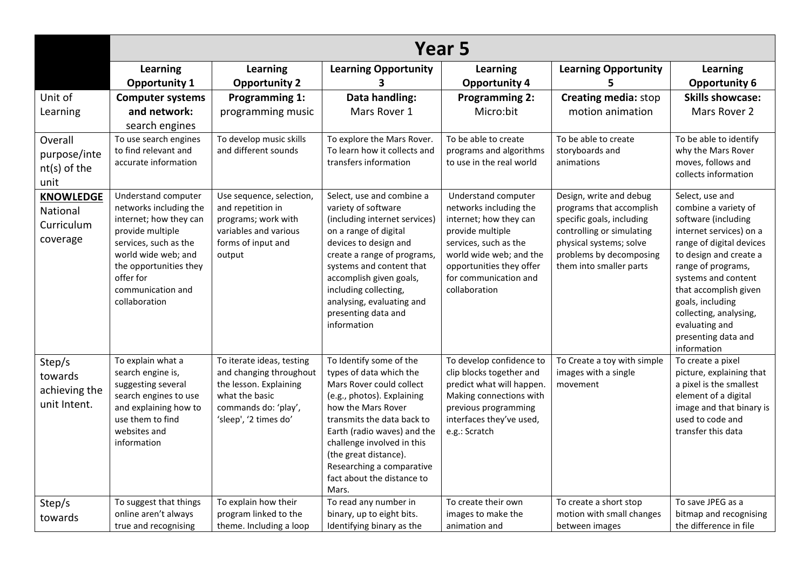|                                                        | Year 5                                                                                                                                                                                                                   |                                                                                                                                                   |                                                                                                                                                                                                                                                                                                                            |                                                                                                                                                                                                                       |                                                                                                                                                                                                |                                                                                                                                                                                                                                                                                                                             |  |
|--------------------------------------------------------|--------------------------------------------------------------------------------------------------------------------------------------------------------------------------------------------------------------------------|---------------------------------------------------------------------------------------------------------------------------------------------------|----------------------------------------------------------------------------------------------------------------------------------------------------------------------------------------------------------------------------------------------------------------------------------------------------------------------------|-----------------------------------------------------------------------------------------------------------------------------------------------------------------------------------------------------------------------|------------------------------------------------------------------------------------------------------------------------------------------------------------------------------------------------|-----------------------------------------------------------------------------------------------------------------------------------------------------------------------------------------------------------------------------------------------------------------------------------------------------------------------------|--|
|                                                        | Learning                                                                                                                                                                                                                 | Learning                                                                                                                                          | <b>Learning Opportunity</b>                                                                                                                                                                                                                                                                                                | <b>Learning</b>                                                                                                                                                                                                       | <b>Learning Opportunity</b>                                                                                                                                                                    | <b>Learning</b>                                                                                                                                                                                                                                                                                                             |  |
|                                                        | <b>Opportunity 1</b>                                                                                                                                                                                                     | <b>Opportunity 2</b>                                                                                                                              | 3                                                                                                                                                                                                                                                                                                                          | <b>Opportunity 4</b>                                                                                                                                                                                                  | 5                                                                                                                                                                                              | <b>Opportunity 6</b>                                                                                                                                                                                                                                                                                                        |  |
| Unit of<br>Learning                                    | <b>Computer systems</b><br>and network:<br>search engines                                                                                                                                                                | <b>Programming 1:</b><br>programming music                                                                                                        | Data handling:<br>Mars Rover 1                                                                                                                                                                                                                                                                                             | <b>Programming 2:</b><br>Micro:bit                                                                                                                                                                                    | <b>Creating media: stop</b><br>motion animation                                                                                                                                                | <b>Skills showcase:</b><br>Mars Rover 2                                                                                                                                                                                                                                                                                     |  |
| Overall<br>purpose/inte<br>nt(s) of the<br>unit        | To use search engines<br>to find relevant and<br>accurate information                                                                                                                                                    | To develop music skills<br>and different sounds                                                                                                   | To explore the Mars Rover.<br>To learn how it collects and<br>transfers information                                                                                                                                                                                                                                        | To be able to create<br>programs and algorithms<br>to use in the real world                                                                                                                                           | To be able to create<br>storyboards and<br>animations                                                                                                                                          | To be able to identify<br>why the Mars Rover<br>moves, follows and<br>collects information                                                                                                                                                                                                                                  |  |
| <b>KNOWLEDGE</b><br>National<br>Curriculum<br>coverage | Understand computer<br>networks including the<br>internet; how they can<br>provide multiple<br>services, such as the<br>world wide web; and<br>the opportunities they<br>offer for<br>communication and<br>collaboration | Use sequence, selection,<br>and repetition in<br>programs; work with<br>variables and various<br>forms of input and<br>output                     | Select, use and combine a<br>variety of software<br>(including internet services)<br>on a range of digital<br>devices to design and<br>create a range of programs,<br>systems and content that<br>accomplish given goals,<br>including collecting,<br>analysing, evaluating and<br>presenting data and<br>information      | Understand computer<br>networks including the<br>internet; how they can<br>provide multiple<br>services, such as the<br>world wide web; and the<br>opportunities they offer<br>for communication and<br>collaboration | Design, write and debug<br>programs that accomplish<br>specific goals, including<br>controlling or simulating<br>physical systems; solve<br>problems by decomposing<br>them into smaller parts | Select, use and<br>combine a variety of<br>software (including<br>internet services) on a<br>range of digital devices<br>to design and create a<br>range of programs,<br>systems and content<br>that accomplish given<br>goals, including<br>collecting, analysing,<br>evaluating and<br>presenting data and<br>information |  |
| Step/s<br>towards<br>achieving the<br>unit Intent.     | To explain what a<br>search engine is,<br>suggesting several<br>search engines to use<br>and explaining how to<br>use them to find<br>websites and<br>information                                                        | To iterate ideas, testing<br>and changing throughout<br>the lesson. Explaining<br>what the basic<br>commands do: 'play',<br>'sleep', '2 times do' | To Identify some of the<br>types of data which the<br>Mars Rover could collect<br>(e.g., photos). Explaining<br>how the Mars Rover<br>transmits the data back to<br>Earth (radio waves) and the<br>challenge involved in this<br>(the great distance).<br>Researching a comparative<br>fact about the distance to<br>Mars. | To develop confidence to<br>clip blocks together and<br>predict what will happen.<br>Making connections with<br>previous programming<br>interfaces they've used,<br>e.g.: Scratch                                     | To Create a toy with simple<br>images with a single<br>movement                                                                                                                                | To create a pixel<br>picture, explaining that<br>a pixel is the smallest<br>element of a digital<br>image and that binary is<br>used to code and<br>transfer this data                                                                                                                                                      |  |
| Step/s<br>towards                                      | To suggest that things<br>online aren't always<br>true and recognising                                                                                                                                                   | To explain how their<br>program linked to the<br>theme. Including a loop                                                                          | To read any number in<br>binary, up to eight bits.<br>Identifying binary as the                                                                                                                                                                                                                                            | To create their own<br>images to make the<br>animation and                                                                                                                                                            | To create a short stop<br>motion with small changes<br>between images                                                                                                                          | To save JPEG as a<br>bitmap and recognising<br>the difference in file                                                                                                                                                                                                                                                       |  |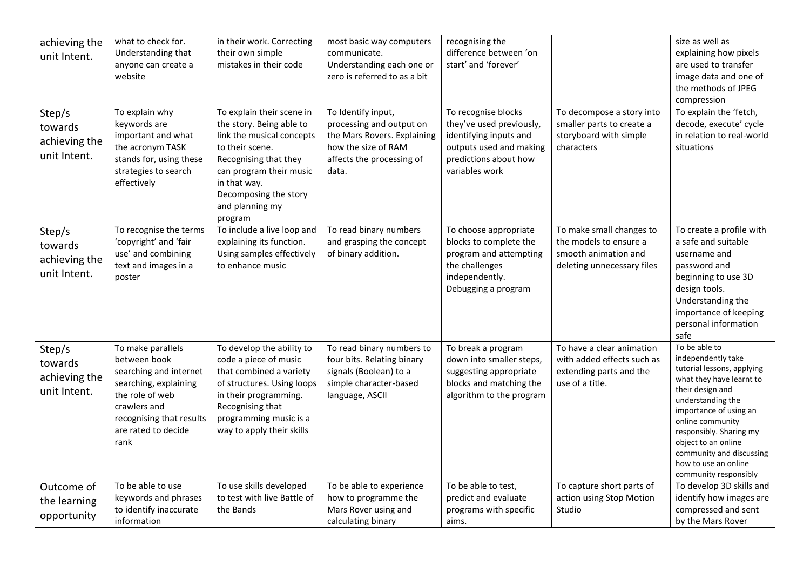| achieving the<br>unit Intent.                      | what to check for.<br>Understanding that<br>anyone can create a<br>website                                                                                                         | in their work. Correcting<br>their own simple<br>mistakes in their code                                                                                                                                                          | most basic way computers<br>communicate.<br>Understanding each one or<br>zero is referred to as a bit                                      | recognising the<br>difference between 'on<br>start' and 'forever'                                                                               |                                                                                                          | size as well as<br>explaining how pixels<br>are used to transfer<br>image data and one of<br>the methods of JPEG<br>compression                                                                                                                                                                                     |
|----------------------------------------------------|------------------------------------------------------------------------------------------------------------------------------------------------------------------------------------|----------------------------------------------------------------------------------------------------------------------------------------------------------------------------------------------------------------------------------|--------------------------------------------------------------------------------------------------------------------------------------------|-------------------------------------------------------------------------------------------------------------------------------------------------|----------------------------------------------------------------------------------------------------------|---------------------------------------------------------------------------------------------------------------------------------------------------------------------------------------------------------------------------------------------------------------------------------------------------------------------|
| Step/s<br>towards<br>achieving the<br>unit Intent. | To explain why<br>keywords are<br>important and what<br>the acronym TASK<br>stands for, using these<br>strategies to search<br>effectively                                         | To explain their scene in<br>the story. Being able to<br>link the musical concepts<br>to their scene.<br>Recognising that they<br>can program their music<br>in that way.<br>Decomposing the story<br>and planning my<br>program | To Identify input,<br>processing and output on<br>the Mars Rovers. Explaining<br>how the size of RAM<br>affects the processing of<br>data. | To recognise blocks<br>they've used previously,<br>identifying inputs and<br>outputs used and making<br>predictions about how<br>variables work | To decompose a story into<br>smaller parts to create a<br>storyboard with simple<br>characters           | To explain the 'fetch,<br>decode, execute' cycle<br>in relation to real-world<br>situations                                                                                                                                                                                                                         |
| Step/s<br>towards<br>achieving the<br>unit Intent. | To recognise the terms<br>'copyright' and 'fair<br>use' and combining<br>text and images in a<br>poster                                                                            | To include a live loop and<br>explaining its function.<br>Using samples effectively<br>to enhance music                                                                                                                          | To read binary numbers<br>and grasping the concept<br>of binary addition.                                                                  | To choose appropriate<br>blocks to complete the<br>program and attempting<br>the challenges<br>independently.<br>Debugging a program            | To make small changes to<br>the models to ensure a<br>smooth animation and<br>deleting unnecessary files | To create a profile with<br>a safe and suitable<br>username and<br>password and<br>beginning to use 3D<br>design tools.<br>Understanding the<br>importance of keeping<br>personal information<br>safe                                                                                                               |
| Step/s<br>towards<br>achieving the<br>unit Intent. | To make parallels<br>between book<br>searching and internet<br>searching, explaining<br>the role of web<br>crawlers and<br>recognising that results<br>are rated to decide<br>rank | To develop the ability to<br>code a piece of music<br>that combined a variety<br>of structures. Using loops<br>in their programming.<br>Recognising that<br>programming music is a<br>way to apply their skills                  | To read binary numbers to<br>four bits. Relating binary<br>signals (Boolean) to a<br>simple character-based<br>language, ASCII             | To break a program<br>down into smaller steps,<br>suggesting appropriate<br>blocks and matching the<br>algorithm to the program                 | To have a clear animation<br>with added effects such as<br>extending parts and the<br>use of a title.    | To be able to<br>independently take<br>tutorial lessons, applying<br>what they have learnt to<br>their design and<br>understanding the<br>importance of using an<br>online community<br>responsibly. Sharing my<br>object to an online<br>community and discussing<br>how to use an online<br>community responsibly |
| Outcome of<br>the learning<br>opportunity          | To be able to use<br>keywords and phrases<br>to identify inaccurate<br>information                                                                                                 | To use skills developed<br>to test with live Battle of<br>the Bands                                                                                                                                                              | To be able to experience<br>how to programme the<br>Mars Rover using and<br>calculating binary                                             | To be able to test,<br>predict and evaluate<br>programs with specific<br>aims.                                                                  | To capture short parts of<br>action using Stop Motion<br>Studio                                          | To develop 3D skills and<br>identify how images are<br>compressed and sent<br>by the Mars Rover                                                                                                                                                                                                                     |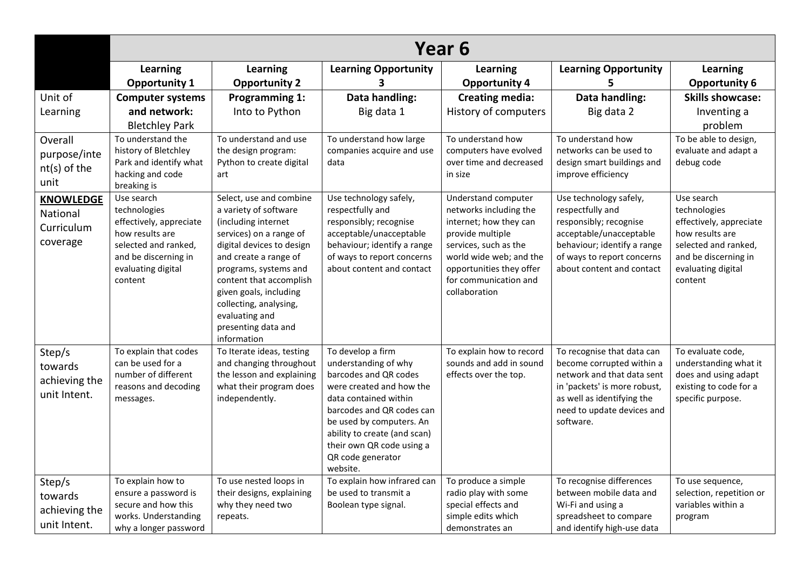|                  | Year 6                                         |                                                  |                                                   |                                                   |                                                            |                                             |  |
|------------------|------------------------------------------------|--------------------------------------------------|---------------------------------------------------|---------------------------------------------------|------------------------------------------------------------|---------------------------------------------|--|
|                  | Learning                                       | Learning                                         | <b>Learning Opportunity</b>                       | Learning                                          | <b>Learning Opportunity</b>                                | <b>Learning</b>                             |  |
|                  | <b>Opportunity 1</b>                           | <b>Opportunity 2</b>                             | 3                                                 | <b>Opportunity 4</b>                              | 5.                                                         | <b>Opportunity 6</b>                        |  |
| Unit of          | <b>Computer systems</b>                        | <b>Programming 1:</b>                            | Data handling:                                    | <b>Creating media:</b>                            | Data handling:                                             | <b>Skills showcase:</b>                     |  |
| Learning         | and network:                                   | Into to Python                                   | Big data 1                                        | History of computers                              | Big data 2                                                 | Inventing a                                 |  |
|                  | <b>Bletchley Park</b>                          |                                                  |                                                   |                                                   |                                                            | problem                                     |  |
| Overall          | To understand the                              | To understand and use                            | To understand how large                           | To understand how                                 | To understand how                                          | To be able to design,                       |  |
| purpose/inte     | history of Bletchley<br>Park and identify what | the design program:<br>Python to create digital  | companies acquire and use<br>data                 | computers have evolved<br>over time and decreased | networks can be used to<br>design smart buildings and      | evaluate and adapt a<br>debug code          |  |
| $nt(s)$ of the   | hacking and code                               | art                                              |                                                   | in size                                           | improve efficiency                                         |                                             |  |
| unit             | breaking is                                    |                                                  |                                                   |                                                   |                                                            |                                             |  |
| <b>KNOWLEDGE</b> | Use search                                     | Select, use and combine                          | Use technology safely,                            | Understand computer                               | Use technology safely,                                     | Use search                                  |  |
| National         | technologies<br>effectively, appreciate        | a variety of software<br>(including internet     | respectfully and<br>responsibly; recognise        | networks including the<br>internet; how they can  | respectfully and<br>responsibly; recognise                 | technologies<br>effectively, appreciate     |  |
| Curriculum       | how results are                                | services) on a range of                          | acceptable/unacceptable                           | provide multiple                                  | acceptable/unacceptable                                    | how results are                             |  |
| coverage         | selected and ranked,                           | digital devices to design                        | behaviour; identify a range                       | services, such as the                             | behaviour; identify a range                                | selected and ranked,                        |  |
|                  | and be discerning in                           | and create a range of                            | of ways to report concerns                        | world wide web; and the                           | of ways to report concerns                                 | and be discerning in                        |  |
|                  | evaluating digital<br>content                  | programs, systems and<br>content that accomplish | about content and contact                         | opportunities they offer<br>for communication and | about content and contact                                  | evaluating digital<br>content               |  |
|                  |                                                | given goals, including                           |                                                   | collaboration                                     |                                                            |                                             |  |
|                  |                                                | collecting, analysing,                           |                                                   |                                                   |                                                            |                                             |  |
|                  |                                                | evaluating and                                   |                                                   |                                                   |                                                            |                                             |  |
|                  |                                                | presenting data and<br>information               |                                                   |                                                   |                                                            |                                             |  |
| Step/s           | To explain that codes                          | To Iterate ideas, testing                        | To develop a firm                                 | To explain how to record                          | To recognise that data can                                 | To evaluate code,                           |  |
| towards          | can be used for a                              | and changing throughout                          | understanding of why                              | sounds and add in sound                           | become corrupted within a                                  | understanding what it                       |  |
| achieving the    | number of different                            | the lesson and explaining                        | barcodes and QR codes                             | effects over the top.                             | network and that data sent                                 | does and using adapt                        |  |
| unit Intent.     | reasons and decoding<br>messages.              | what their program does<br>independently.        | were created and how the<br>data contained within |                                                   | in 'packets' is more robust,<br>as well as identifying the | existing to code for a<br>specific purpose. |  |
|                  |                                                |                                                  | barcodes and QR codes can                         |                                                   | need to update devices and                                 |                                             |  |
|                  |                                                |                                                  | be used by computers. An                          |                                                   | software.                                                  |                                             |  |
|                  |                                                |                                                  | ability to create (and scan)                      |                                                   |                                                            |                                             |  |
|                  |                                                |                                                  | their own QR code using a<br>QR code generator    |                                                   |                                                            |                                             |  |
|                  |                                                |                                                  | website.                                          |                                                   |                                                            |                                             |  |
| Step/s           | To explain how to                              | To use nested loops in                           | To explain how infrared can                       | To produce a simple                               | To recognise differences                                   | To use sequence,                            |  |
| towards          | ensure a password is                           | their designs, explaining                        | be used to transmit a                             | radio play with some                              | between mobile data and                                    | selection, repetition or                    |  |
| achieving the    | secure and how this<br>works. Understanding    | why they need two<br>repeats.                    | Boolean type signal.                              | special effects and<br>simple edits which         | Wi-Fi and using a<br>spreadsheet to compare                | variables within a<br>program               |  |
| unit Intent.     | why a longer password                          |                                                  |                                                   | demonstrates an                                   | and identify high-use data                                 |                                             |  |